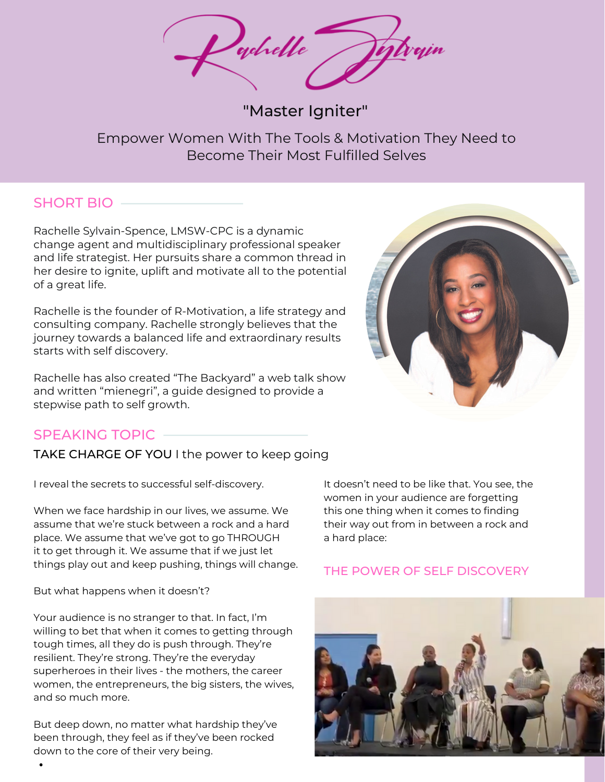whelle

"Master Igniter"

Empower Women With The Tools & Motivation They Need to Become Their Most Fulfilled Selves

### SHORT BIO

Rachelle Sylvain-Spence, LMSW-CPC is a dynamic change agent and multidisciplinary professional speaker and life strategist. Her pursuits share a common thread in her desire to ignite, uplift and motivate all to the potential of a great life.

Rachelle is the founder of R-Motivation, a life strategy and consulting company. Rachelle strongly believes that the journey towards a balanced life and extraordinary results starts with self discovery.

Rachelle has also created "The Backyard" a web talk show and written "mienegri", a guide designed to provide a stepwise path to self growth.



### SPEAKING TOPIC

TAKE CHARGE OF YOU I the power to keep going

I reveal the secrets to successful self-discovery.

When we face hardship in our lives, we assume. We assume that we're stuck between a rock and a hard place. We assume that we've got to go THROUGH it to get through it. We assume that if we just let things play out and keep pushing, things will change.

But what happens when it doesn't?

Your audience is no stranger to that. In fact, I'm willing to bet that when it comes to getting through tough times, all they do is push through. They're resilient. They're strong. They're the everyday superheroes in their lives - the mothers, the career women, the entrepreneurs, the big sisters, the wives, and so much more.

But deep down, no matter what hardship they've been through, they feel as if they've been rocked down to the core of their very being.

It doesn't need to be like that. You see, the women in your audience are forgetting this one thing when it comes to finding their way out from in between a rock and a hard place:

### THE POWER OF SELF DISCOVERY